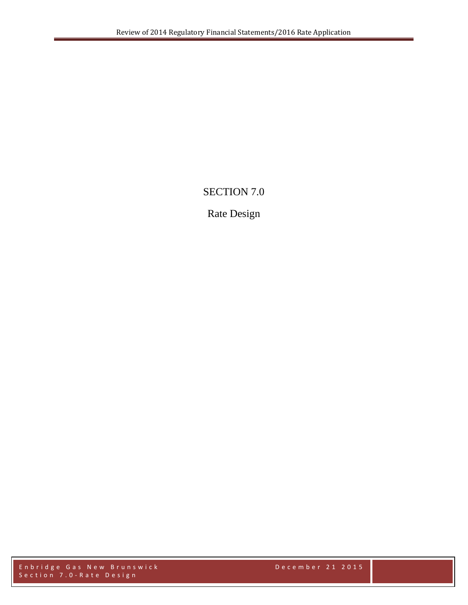# SECTION 7.0

# Rate Design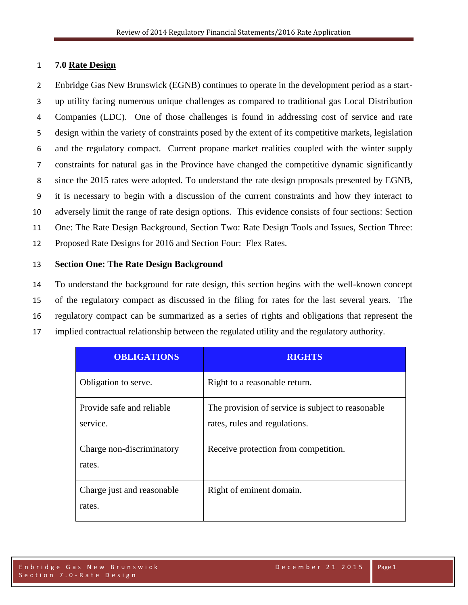## 1 **7.0 Rate Design**

 Enbridge Gas New Brunswick (EGNB) continues to operate in the development period as a start- up utility facing numerous unique challenges as compared to traditional gas Local Distribution Companies (LDC). One of those challenges is found in addressing cost of service and rate design within the variety of constraints posed by the extent of its competitive markets, legislation and the regulatory compact. Current propane market realities coupled with the winter supply constraints for natural gas in the Province have changed the competitive dynamic significantly since the 2015 rates were adopted. To understand the rate design proposals presented by EGNB, it is necessary to begin with a discussion of the current constraints and how they interact to adversely limit the range of rate design options. This evidence consists of four sections: Section One: The Rate Design Background, Section Two: Rate Design Tools and Issues, Section Three: Proposed Rate Designs for 2016 and Section Four: Flex Rates.

## 13 **Section One: The Rate Design Background**

 To understand the background for rate design, this section begins with the well-known concept of the regulatory compact as discussed in the filing for rates for the last several years. The regulatory compact can be summarized as a series of rights and obligations that represent the implied contractual relationship between the regulated utility and the regulatory authority.

| <b>OBLIGATIONS</b>                    | <b>RIGHTS</b>                                                                      |
|---------------------------------------|------------------------------------------------------------------------------------|
| Obligation to serve.                  | Right to a reasonable return.                                                      |
| Provide safe and reliable<br>service. | The provision of service is subject to reasonable<br>rates, rules and regulations. |
| Charge non-discriminatory<br>rates.   | Receive protection from competition.                                               |
| Charge just and reasonable<br>rates.  | Right of eminent domain.                                                           |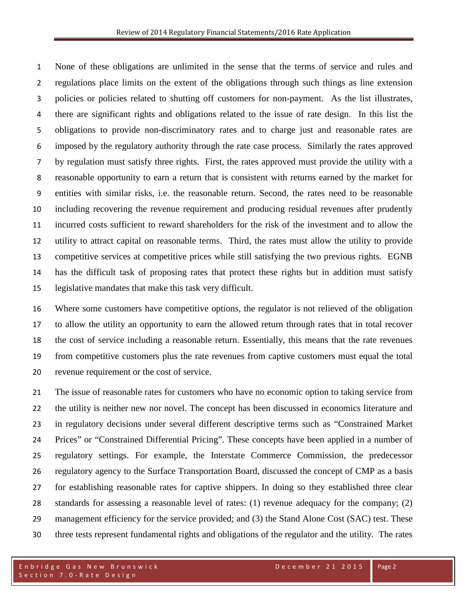None of these obligations are unlimited in the sense that the terms of service and rules and regulations place limits on the extent of the obligations through such things as line extension policies or policies related to shutting off customers for non-payment. As the list illustrates, there are significant rights and obligations related to the issue of rate design. In this list the obligations to provide non-discriminatory rates and to charge just and reasonable rates are imposed by the regulatory authority through the rate case process. Similarly the rates approved by regulation must satisfy three rights. First, the rates approved must provide the utility with a reasonable opportunity to earn a return that is consistent with returns earned by the market for entities with similar risks, i.e. the reasonable return. Second, the rates need to be reasonable including recovering the revenue requirement and producing residual revenues after prudently incurred costs sufficient to reward shareholders for the risk of the investment and to allow the utility to attract capital on reasonable terms. Third, the rates must allow the utility to provide competitive services at competitive prices while still satisfying the two previous rights. EGNB has the difficult task of proposing rates that protect these rights but in addition must satisfy legislative mandates that make this task very difficult.

 Where some customers have competitive options, the regulator is not relieved of the obligation to allow the utility an opportunity to earn the allowed return through rates that in total recover the cost of service including a reasonable return. Essentially, this means that the rate revenues from competitive customers plus the rate revenues from captive customers must equal the total revenue requirement or the cost of service.

 The issue of reasonable rates for customers who have no economic option to taking service from the utility is neither new nor novel. The concept has been discussed in economics literature and in regulatory decisions under several different descriptive terms such as "Constrained Market Prices" or "Constrained Differential Pricing". These concepts have been applied in a number of regulatory settings. For example, the Interstate Commerce Commission, the predecessor regulatory agency to the Surface Transportation Board, discussed the concept of CMP as a basis for establishing reasonable rates for captive shippers. In doing so they established three clear standards for assessing a reasonable level of rates: (1) revenue adequacy for the company; (2) 29 management efficiency for the service provided; and (3) the Stand Alone Cost (SAC) test. These three tests represent fundamental rights and obligations of the regulator and the utility. The rates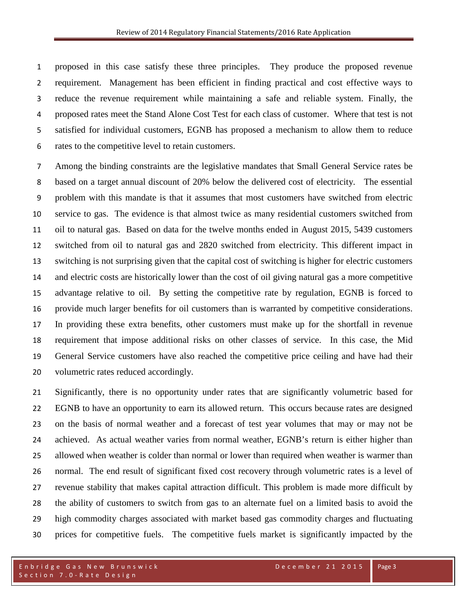proposed in this case satisfy these three principles. They produce the proposed revenue requirement. Management has been efficient in finding practical and cost effective ways to reduce the revenue requirement while maintaining a safe and reliable system. Finally, the proposed rates meet the Stand Alone Cost Test for each class of customer. Where that test is not satisfied for individual customers, EGNB has proposed a mechanism to allow them to reduce rates to the competitive level to retain customers.

 Among the binding constraints are the legislative mandates that Small General Service rates be based on a target annual discount of 20% below the delivered cost of electricity. The essential problem with this mandate is that it assumes that most customers have switched from electric service to gas. The evidence is that almost twice as many residential customers switched from oil to natural gas. Based on data for the twelve months ended in August 2015, 5439 customers switched from oil to natural gas and 2820 switched from electricity. This different impact in switching is not surprising given that the capital cost of switching is higher for electric customers and electric costs are historically lower than the cost of oil giving natural gas a more competitive advantage relative to oil. By setting the competitive rate by regulation, EGNB is forced to provide much larger benefits for oil customers than is warranted by competitive considerations. In providing these extra benefits, other customers must make up for the shortfall in revenue requirement that impose additional risks on other classes of service. In this case, the Mid General Service customers have also reached the competitive price ceiling and have had their volumetric rates reduced accordingly.

 Significantly, there is no opportunity under rates that are significantly volumetric based for EGNB to have an opportunity to earn its allowed return. This occurs because rates are designed on the basis of normal weather and a forecast of test year volumes that may or may not be achieved. As actual weather varies from normal weather, EGNB's return is either higher than allowed when weather is colder than normal or lower than required when weather is warmer than normal. The end result of significant fixed cost recovery through volumetric rates is a level of revenue stability that makes capital attraction difficult. This problem is made more difficult by the ability of customers to switch from gas to an alternate fuel on a limited basis to avoid the high commodity charges associated with market based gas commodity charges and fluctuating prices for competitive fuels. The competitive fuels market is significantly impacted by the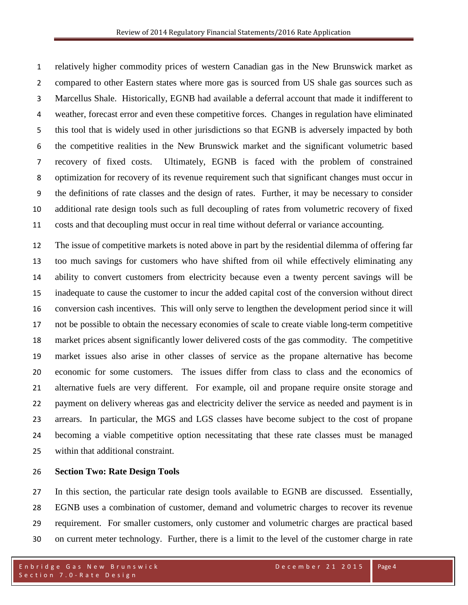relatively higher commodity prices of western Canadian gas in the New Brunswick market as compared to other Eastern states where more gas is sourced from US shale gas sources such as Marcellus Shale. Historically, EGNB had available a deferral account that made it indifferent to weather, forecast error and even these competitive forces. Changes in regulation have eliminated this tool that is widely used in other jurisdictions so that EGNB is adversely impacted by both the competitive realities in the New Brunswick market and the significant volumetric based recovery of fixed costs. Ultimately, EGNB is faced with the problem of constrained optimization for recovery of its revenue requirement such that significant changes must occur in the definitions of rate classes and the design of rates. Further, it may be necessary to consider additional rate design tools such as full decoupling of rates from volumetric recovery of fixed costs and that decoupling must occur in real time without deferral or variance accounting.

 The issue of competitive markets is noted above in part by the residential dilemma of offering far too much savings for customers who have shifted from oil while effectively eliminating any ability to convert customers from electricity because even a twenty percent savings will be inadequate to cause the customer to incur the added capital cost of the conversion without direct conversion cash incentives. This will only serve to lengthen the development period since it will not be possible to obtain the necessary economies of scale to create viable long-term competitive market prices absent significantly lower delivered costs of the gas commodity. The competitive market issues also arise in other classes of service as the propane alternative has become economic for some customers. The issues differ from class to class and the economics of alternative fuels are very different. For example, oil and propane require onsite storage and payment on delivery whereas gas and electricity deliver the service as needed and payment is in arrears. In particular, the MGS and LGS classes have become subject to the cost of propane becoming a viable competitive option necessitating that these rate classes must be managed within that additional constraint.

#### **Section Two: Rate Design Tools**

 In this section, the particular rate design tools available to EGNB are discussed. Essentially, EGNB uses a combination of customer, demand and volumetric charges to recover its revenue requirement. For smaller customers, only customer and volumetric charges are practical based on current meter technology. Further, there is a limit to the level of the customer charge in rate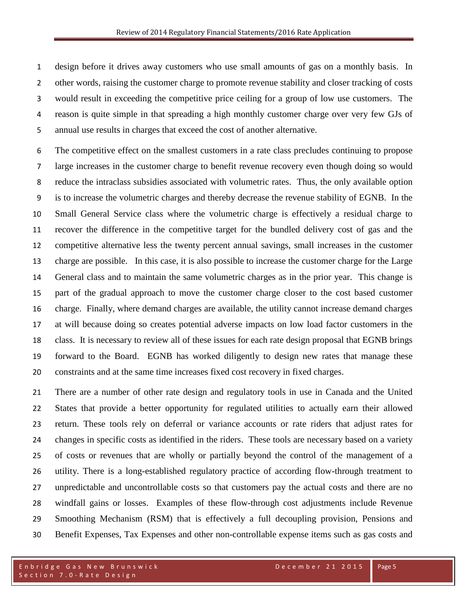design before it drives away customers who use small amounts of gas on a monthly basis. In other words, raising the customer charge to promote revenue stability and closer tracking of costs would result in exceeding the competitive price ceiling for a group of low use customers. The reason is quite simple in that spreading a high monthly customer charge over very few GJs of annual use results in charges that exceed the cost of another alternative.

 The competitive effect on the smallest customers in a rate class precludes continuing to propose large increases in the customer charge to benefit revenue recovery even though doing so would reduce the intraclass subsidies associated with volumetric rates. Thus, the only available option is to increase the volumetric charges and thereby decrease the revenue stability of EGNB. In the Small General Service class where the volumetric charge is effectively a residual charge to recover the difference in the competitive target for the bundled delivery cost of gas and the competitive alternative less the twenty percent annual savings, small increases in the customer charge are possible. In this case, it is also possible to increase the customer charge for the Large General class and to maintain the same volumetric charges as in the prior year. This change is part of the gradual approach to move the customer charge closer to the cost based customer charge. Finally, where demand charges are available, the utility cannot increase demand charges at will because doing so creates potential adverse impacts on low load factor customers in the class. It is necessary to review all of these issues for each rate design proposal that EGNB brings forward to the Board. EGNB has worked diligently to design new rates that manage these constraints and at the same time increases fixed cost recovery in fixed charges.

 There are a number of other rate design and regulatory tools in use in Canada and the United States that provide a better opportunity for regulated utilities to actually earn their allowed return. These tools rely on deferral or variance accounts or rate riders that adjust rates for changes in specific costs as identified in the riders. These tools are necessary based on a variety of costs or revenues that are wholly or partially beyond the control of the management of a utility. There is a long-established regulatory practice of according flow-through treatment to unpredictable and uncontrollable costs so that customers pay the actual costs and there are no windfall gains or losses. Examples of these flow-through cost adjustments include Revenue Smoothing Mechanism (RSM) that is effectively a full decoupling provision, Pensions and Benefit Expenses, Tax Expenses and other non-controllable expense items such as gas costs and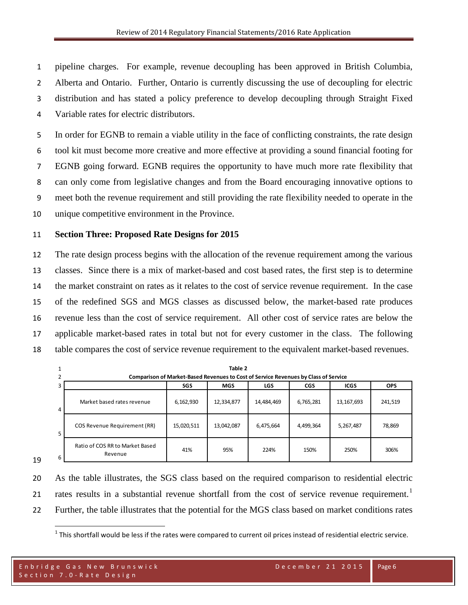pipeline charges. For example, revenue decoupling has been approved in British Columbia, Alberta and Ontario. Further, Ontario is currently discussing the use of decoupling for electric distribution and has stated a policy preference to develop decoupling through Straight Fixed Variable rates for electric distributors.

 In order for EGNB to remain a viable utility in the face of conflicting constraints, the rate design tool kit must become more creative and more effective at providing a sound financial footing for EGNB going forward. EGNB requires the opportunity to have much more rate flexibility that can only come from legislative changes and from the Board encouraging innovative options to meet both the revenue requirement and still providing the rate flexibility needed to operate in the unique competitive environment in the Province.

#### **Section Three: Proposed Rate Designs for 2015**

 The rate design process begins with the allocation of the revenue requirement among the various classes. Since there is a mix of market-based and cost based rates, the first step is to determine the market constraint on rates as it relates to the cost of service revenue requirement. In the case of the redefined SGS and MGS classes as discussed below, the market-based rate produces revenue less than the cost of service requirement. All other cost of service rates are below the applicable market-based rates in total but not for every customer in the class. The following table compares the cost of service revenue requirement to the equivalent market-based revenues.

|                | Table 2                                                                                    |            |            |            |           |            |            |
|----------------|--------------------------------------------------------------------------------------------|------------|------------|------------|-----------|------------|------------|
|                | <b>Comparison of Market-Based Revenues to Cost of Service Revenues by Class of Service</b> |            |            |            |           |            |            |
|                | SGS<br><b>MGS</b><br><b>LGS</b><br><b>CGS</b><br><b>ICGS</b>                               |            |            |            |           |            | <b>OPS</b> |
| $\overline{4}$ | Market based rates revenue                                                                 | 6,162,930  | 12,334,877 | 14,484,469 | 6,765,281 | 13,167,693 | 241,519    |
|                | COS Revenue Requirement (RR)                                                               | 15,020,511 | 13,042,087 | 6,475,664  | 4,499,364 | 5,267,487  | 78,869     |
| 6              | Ratio of COS RR to Market Based<br>Revenue                                                 | 41%        | 95%        | 224%       | 150%      | 250%       | 306%       |

As the table illustrates, the SGS class based on the required comparison to residential electric

[1](#page-6-0) rates results in a substantial revenue shortfall from the cost of service revenue requirement.<sup>1</sup>

<span id="page-6-0"></span>Further, the table illustrates that the potential for the MGS class based on market conditions rates

This shortfall would be less if the rates were compared to current oil prices instead of residential electric service.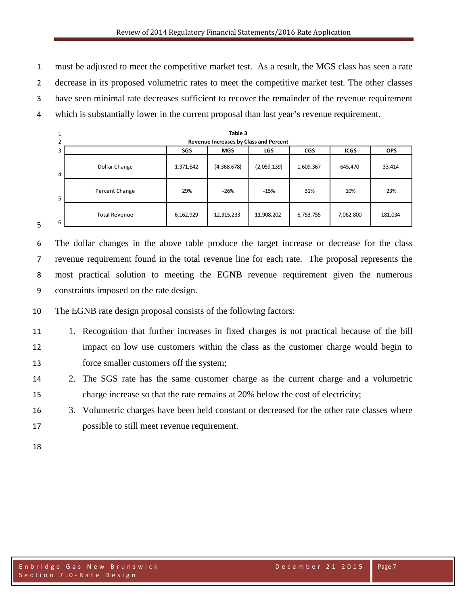must be adjusted to meet the competitive market test. As a result, the MGS class has seen a rate

decrease in its proposed volumetric rates to meet the competitive market test. The other classes

have seen minimal rate decreases sufficient to recover the remainder of the revenue requirement

which is substantially lower in the current proposal than last year's revenue requirement.

|    | Table 3                                                                           |           |             |             |           |           |         |
|----|-----------------------------------------------------------------------------------|-----------|-------------|-------------|-----------|-----------|---------|
|    | Revenue Increases by Class and Percent                                            |           |             |             |           |           |         |
| з  | <b>ICGS</b><br><b>SGS</b><br><b>CGS</b><br><b>OPS</b><br><b>MGS</b><br><b>LGS</b> |           |             |             |           |           |         |
| 4  | Dollar Change                                                                     | 1,371,642 | (4,368,678) | (2,059,139) | 1,609,367 | 645,470   | 33,414  |
| 5. | Percent Change                                                                    | 29%       | $-26%$      | $-15%$      | 31%       | 10%       | 23%     |
| 6  | <b>Total Revenue</b>                                                              | 6,162,929 | 12,315,233  | 11,908,202  | 6,753,755 | 7,062,800 | 181,034 |

 The dollar changes in the above table produce the target increase or decrease for the class revenue requirement found in the total revenue line for each rate. The proposal represents the most practical solution to meeting the EGNB revenue requirement given the numerous constraints imposed on the rate design.

The EGNB rate design proposal consists of the following factors:

- 1. Recognition that further increases in fixed charges is not practical because of the bill impact on low use customers within the class as the customer charge would begin to force smaller customers off the system;
- 2. The SGS rate has the same customer charge as the current charge and a volumetric charge increase so that the rate remains at 20% below the cost of electricity;
- 3. Volumetric charges have been held constant or decreased for the other rate classes where possible to still meet revenue requirement.
-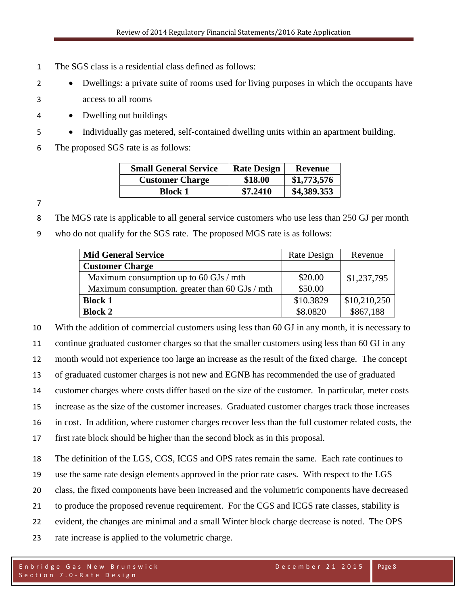- The SGS class is a residential class defined as follows:
- Dwellings: a private suite of rooms used for living purposes in which the occupants have access to all rooms
- Dwelling out buildings
- Individually gas metered, self-contained dwelling units within an apartment building.
- The proposed SGS rate is as follows:

| <b>Small General Service</b> | <b>Rate Design</b> | <b>Revenue</b> |
|------------------------------|--------------------|----------------|
| <b>Customer Charge</b>       | \$18.00            | \$1,773,576    |
| Block 1                      | \$7.2410           | \$4,389.353    |

The MGS rate is applicable to all general service customers who use less than 250 GJ per month

who do not qualify for the SGS rate. The proposed MGS rate is as follows:

| <b>Mid General Service</b>                     | Rate Design | Revenue      |
|------------------------------------------------|-------------|--------------|
| <b>Customer Charge</b>                         |             |              |
| Maximum consumption up to 60 GJs / mth         | \$20.00     | \$1,237,795  |
| Maximum consumption. greater than 60 GJs / mth | \$50.00     |              |
| <b>Block 1</b>                                 | \$10.3829   | \$10,210,250 |
| <b>Block 2</b>                                 | \$8.0820    | \$867,188    |

 With the addition of commercial customers using less than 60 GJ in any month, it is necessary to continue graduated customer charges so that the smaller customers using less than 60 GJ in any month would not experience too large an increase as the result of the fixed charge. The concept of graduated customer charges is not new and EGNB has recommended the use of graduated customer charges where costs differ based on the size of the customer. In particular, meter costs increase as the size of the customer increases. Graduated customer charges track those increases in cost. In addition, where customer charges recover less than the full customer related costs, the first rate block should be higher than the second block as in this proposal. The definition of the LGS, CGS, ICGS and OPS rates remain the same. Each rate continues to use the same rate design elements approved in the prior rate cases. With respect to the LGS

- class, the fixed components have been increased and the volumetric components have decreased
- to produce the proposed revenue requirement. For the CGS and ICGS rate classes, stability is
- evident, the changes are minimal and a small Winter block charge decrease is noted. The OPS
- rate increase is applied to the volumetric charge.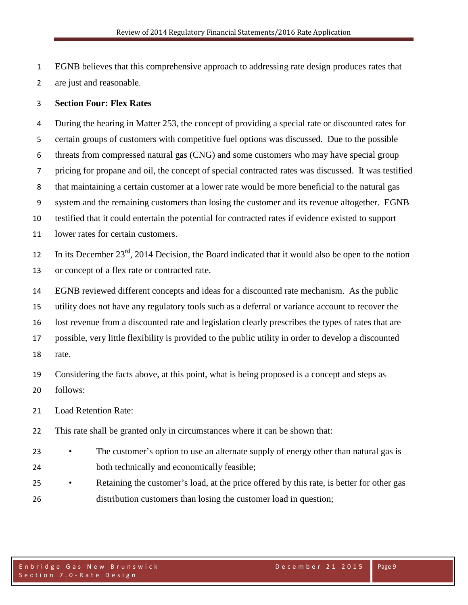EGNB believes that this comprehensive approach to addressing rate design produces rates that are just and reasonable.

### **Section Four: Flex Rates**

 During the hearing in Matter 253, the concept of providing a special rate or discounted rates for certain groups of customers with competitive fuel options was discussed. Due to the possible threats from compressed natural gas (CNG) and some customers who may have special group pricing for propane and oil, the concept of special contracted rates was discussed. It was testified that maintaining a certain customer at a lower rate would be more beneficial to the natural gas system and the remaining customers than losing the customer and its revenue altogether. EGNB testified that it could entertain the potential for contracted rates if evidence existed to support lower rates for certain customers. 12 In its December  $23<sup>rd</sup>$ , 2014 Decision, the Board indicated that it would also be open to the notion or concept of a flex rate or contracted rate.

 EGNB reviewed different concepts and ideas for a discounted rate mechanism. As the public utility does not have any regulatory tools such as a deferral or variance account to recover the lost revenue from a discounted rate and legislation clearly prescribes the types of rates that are possible, very little flexibility is provided to the public utility in order to develop a discounted rate.

 Considering the facts above, at this point, what is being proposed is a concept and steps as follows:

Load Retention Rate:

This rate shall be granted only in circumstances where it can be shown that:

- <sup>23</sup> The customer's option to use an alternate supply of energy other than natural gas is both technically and economically feasible;
- <sup>25</sup> Retaining the customer's load, at the price offered by this rate, is better for other gas distribution customers than losing the customer load in question;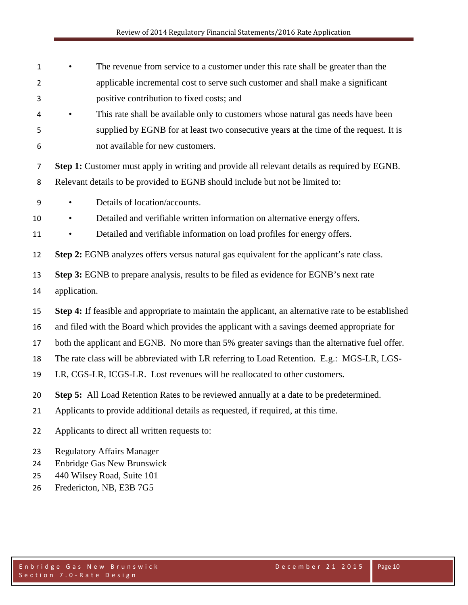| $\mathbf{1}$   | The revenue from service to a customer under this rate shall be greater than the                     |
|----------------|------------------------------------------------------------------------------------------------------|
| $\overline{2}$ | applicable incremental cost to serve such customer and shall make a significant                      |
| 3              | positive contribution to fixed costs; and                                                            |
| 4              | This rate shall be available only to customers whose natural gas needs have been<br>$\bullet$        |
| 5              | supplied by EGNB for at least two consecutive years at the time of the request. It is                |
| 6              | not available for new customers.                                                                     |
| $\overline{7}$ | Step 1: Customer must apply in writing and provide all relevant details as required by EGNB.         |
| 8              | Relevant details to be provided to EGNB should include but not be limited to:                        |
| 9              | Details of location/accounts.<br>$\bullet$                                                           |
| 10             | Detailed and verifiable written information on alternative energy offers.<br>٠                       |
| 11             | Detailed and verifiable information on load profiles for energy offers.<br>$\bullet$                 |
| 12             | Step 2: EGNB analyzes offers versus natural gas equivalent for the applicant's rate class.           |
| 13             | Step 3: EGNB to prepare analysis, results to be filed as evidence for EGNB's next rate               |
| 14             | application.                                                                                         |
| 15             | Step 4: If feasible and appropriate to maintain the applicant, an alternative rate to be established |
| 16             | and filed with the Board which provides the applicant with a savings deemed appropriate for          |
| 17             | both the applicant and EGNB. No more than 5% greater savings than the alternative fuel offer.        |
| 18             | The rate class will be abbreviated with LR referring to Load Retention. E.g.: MGS-LR, LGS-           |
| 19             | LR, CGS-LR, ICGS-LR. Lost revenues will be reallocated to other customers.                           |
| 20             | Step 5: All Load Retention Rates to be reviewed annually at a date to be predetermined.              |
| 21             | Applicants to provide additional details as requested, if required, at this time.                    |
| 22             | Applicants to direct all written requests to:                                                        |
| 23             | <b>Regulatory Affairs Manager</b>                                                                    |
| 24             | <b>Enbridge Gas New Brunswick</b>                                                                    |
| 25             | 440 Wilsey Road, Suite 101                                                                           |
| 26             | Fredericton, NB, E3B 7G5                                                                             |